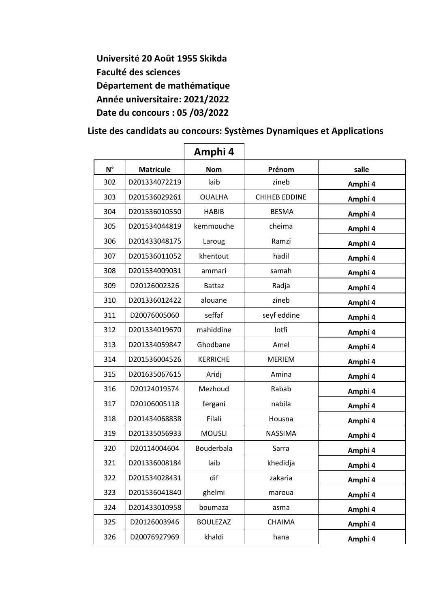**Université 20 Août 1955 Skikda Faculté des sciences Département de mathématique Année universitaire: 2021/2022 Date du concours : 05 /03/2022**

 **Liste des candidats au concours: Systèmes Dynamiques et Applications**

|             |                  | Amphi 4         |                      |         |
|-------------|------------------|-----------------|----------------------|---------|
| $N^{\circ}$ | <b>Matricule</b> | <b>Nom</b>      | Prénom               | salle   |
| 302         | D201334072219    | laib            | zineb                | Amphi 4 |
| 303         | D201536029261    | <b>OUALHA</b>   | <b>CHIHEB EDDINE</b> | Amphi 4 |
| 304         | D201536010550    | <b>HABIB</b>    | <b>BESMA</b>         | Amphi 4 |
| 305         | D201534044819    | kemmouche       | cheima               | Amphi 4 |
| 306         | D201433048175    | Laroug          | Ramzi                | Amphi 4 |
| 307         | D201536011052    | khentout        | hadil                | Amphi 4 |
| 308         | D201534009031    | ammari          | samah                | Amphi 4 |
| 309         | D20126002326     | <b>Battaz</b>   | Radja                | Amphi 4 |
| 310         | D201336012422    | alouane         | zineb                | Amphi 4 |
| 311         | D20076005060     | seffaf          | seyf eddine          | Amphi 4 |
| 312         | D201334019670    | mahiddine       | lotfi                | Amphi 4 |
| 313         | D201334059847    | Ghodbane        | Amel                 | Amphi 4 |
| 314         | D201536004526    | <b>KERRICHE</b> | <b>MERIEM</b>        | Amphi 4 |
| 315         | D201635067615    | Aridj           | Amina                | Amphi 4 |
| 316         | D20124019574     | Mezhoud         | Rabab                | Amphi 4 |
| 317         | D20106005118     | fergani         | nabila               | Amphi 4 |
| 318         | D201434068838    | Filali          | Housna               | Amphi 4 |
| 319         | D201335056933    | <b>MOUSLI</b>   | <b>NASSIMA</b>       | Amphi 4 |
| 320         | D20114004604     | Bouderbala      | Sarra                | Amphi 4 |
| 321         | D201336008184    | laib            | khedidia             | Amphi 4 |
| 322         | D201534028431    | dif             | zakaria              | Amphi 4 |
| 323         | D201536041840    | ghelmi          | maroua               | Amphi 4 |
| 324         | D201433010958    | boumaza         | asma                 | Amphi 4 |
| 325         | D20126003946     | <b>BOULEZAZ</b> | CHAIMA               | Amphi 4 |
| 326         | D20076927969     | khaldi          | hana                 | Amphi 4 |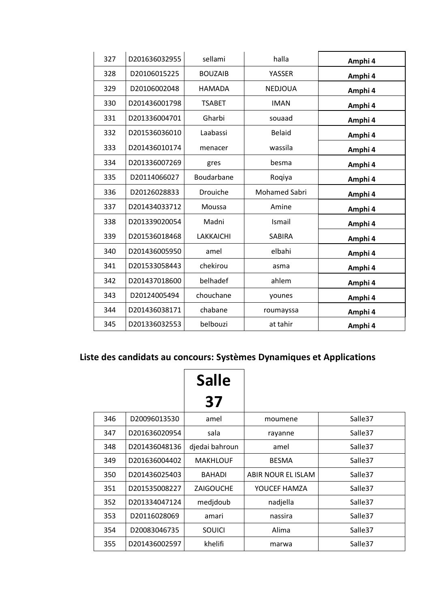| 327 | D201636032955 | sellami        | halla                | Amphi 4 |
|-----|---------------|----------------|----------------------|---------|
| 328 | D20106015225  | <b>BOUZAIB</b> | YASSER               | Amphi 4 |
| 329 | D20106002048  | <b>HAMADA</b>  | <b>NEDJOUA</b>       | Amphi 4 |
| 330 | D201436001798 | <b>TSABET</b>  | <b>IMAN</b>          | Amphi 4 |
| 331 | D201336004701 | Gharbi         | souaad               | Amphi 4 |
| 332 | D201536036010 | Laabassi       | <b>Belaid</b>        | Amphi 4 |
| 333 | D201436010174 | menacer        | wassila              | Amphi 4 |
| 334 | D201336007269 | gres           | besma                | Amphi 4 |
| 335 | D20114066027  | Boudarbane     | Roqiya               | Amphi 4 |
| 336 | D20126028833  | Drouiche       | <b>Mohamed Sabri</b> | Amphi 4 |
| 337 | D201434033712 | Moussa         | Amine                | Amphi 4 |
| 338 | D201339020054 | Madni          | Ismail               | Amphi 4 |
| 339 | D201536018468 | LAKKAICHI      | <b>SABIRA</b>        | Amphi 4 |
| 340 | D201436005950 | amel           | elbahi               | Amphi 4 |
| 341 | D201533058443 | chekirou       | asma                 | Amphi 4 |
| 342 | D201437018600 | belhadef       | ahlem                | Amphi 4 |
| 343 | D20124005494  | chouchane      | younes               | Amphi 4 |
| 344 | D201436038171 | chabane        | roumayssa            | Amphi 4 |
| 345 | D201336032553 | belbouzi       | at tahir             | Amphi 4 |

## **Liste des candidats au concours: Systèmes Dynamiques et Applications**

|     |               | <b>Salle</b>     |                    |                     |
|-----|---------------|------------------|--------------------|---------------------|
|     |               | 37               |                    |                     |
| 346 | D20096013530  | amel             | moumene            | Salle <sub>37</sub> |
| 347 | D201636020954 | sala             | rayanne            | Salle <sub>37</sub> |
| 348 | D201436048136 | djedai bahroun   | amel               | Salle <sub>37</sub> |
| 349 | D201636004402 | <b>MAKHLOUF</b>  | <b>BESMA</b>       | Salle <sub>37</sub> |
| 350 | D201436025403 | <b>BAHADI</b>    | ABIR NOUR EL ISLAM | Salle <sub>37</sub> |
| 351 | D201535008227 | <b>ZAIGOUCHE</b> | YOUCEF HAMZA       | Salle <sub>37</sub> |
| 352 | D201334047124 | medjdoub         | nadjella           | Salle <sub>37</sub> |
| 353 | D20116028069  | amari            | nassira            | Salle <sub>37</sub> |
| 354 | D20083046735  | SOUICI           | Alima              | Salle <sub>37</sub> |
| 355 | D201436002597 | khelifi          | marwa              | Salle <sub>37</sub> |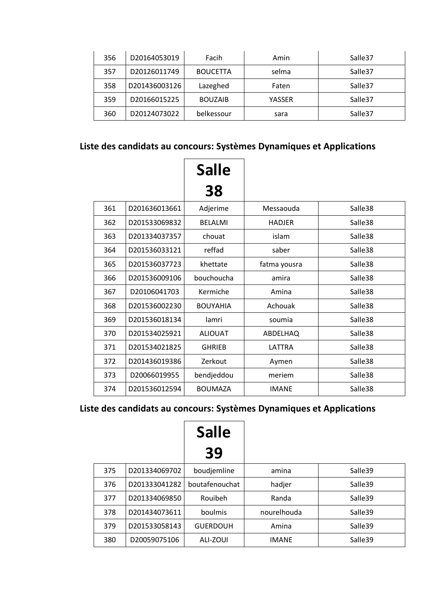| 356 | D20164053019  | Facih           | Amin   | Salle <sub>37</sub> |
|-----|---------------|-----------------|--------|---------------------|
| 357 | D20126011749  | <b>BOUCETTA</b> | selma  | Salle <sub>37</sub> |
| 358 | D201436003126 | Lazeghed        | Faten  | Salle <sub>37</sub> |
| 359 | D20166015225  | <b>BOUZAIB</b>  | YASSER | Salle <sub>37</sub> |
| 360 | D20124073022  | belkessour      | sara   | Salle <sub>37</sub> |

#### **Liste des candidats au concours: Systèmes Dynamiques et Applications**

|     |               | <b>Salle</b><br>38 |               |                     |
|-----|---------------|--------------------|---------------|---------------------|
|     |               |                    |               |                     |
| 361 | D201636013661 | Adjerime           | Messaouda     | Salle38             |
| 362 | D201533069832 | <b>BELALMI</b>     | <b>HADJER</b> | Salle38             |
| 363 | D201334037357 | chouat             | islam         | Salle38             |
| 364 | D201536033121 | reffad             | saber         | Salle <sub>38</sub> |
| 365 | D201536037723 | khettate           | fatma yousra  | Salle <sub>38</sub> |
| 366 | D201536009106 | bouchoucha         | amira         | Salle38             |
| 367 | D20106041703  | Kermiche           | Amina         | Salle38             |
| 368 | D201536002230 | <b>BOUYAHIA</b>    | Achouak       | Salle38             |
| 369 | D201536018134 | lamri              | soumia        | Salle38             |
| 370 | D201534025921 | <b>ALIOUAT</b>     | ABDELHAQ      | Salle38             |
| 371 | D201534021825 | <b>GHRIEB</b>      | LATTRA        | Salle <sub>38</sub> |
| 372 | D201436019386 | Zerkout            | Aymen         | Salle38             |
| 373 | D20066019955  | bendjeddou         | meriem        | Salle38             |
| 374 | D201536012594 | <b>BOUMAZA</b>     | <b>IMANE</b>  | Salle <sub>38</sub> |

### **Liste des candidats au concours: Systèmes Dynamiques et Applications**

|     |               | <b>Salle</b>    |              |                     |
|-----|---------------|-----------------|--------------|---------------------|
|     |               | 39              |              |                     |
| 375 | D201334069702 | boudjemline     | amina        | Salle <sub>39</sub> |
| 376 | D201333041282 | boutafenouchat  | hadjer       | Salle <sub>39</sub> |
| 377 | D201334069850 | Rouibeh         | Randa        | Salle <sub>39</sub> |
| 378 | D201434073611 | boulmis         | nourelhouda  | Salle <sub>39</sub> |
| 379 | D201533058143 | <b>GUERDOUH</b> | Amina        | Salle <sub>39</sub> |
| 380 | D20059075106  | ALI-ZOUI        | <b>IMANE</b> | Salle <sub>39</sub> |